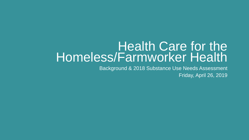### Health Care for the Homeless/Farmworker Health

Background & 2018 Substance Use Needs Assessment Friday, April 26, 2019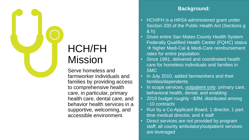### HCH/FH Mission

Serve homeless and farmworker individuals and families by providing access to comprehensive health care, in particular, primary health care, dental care, and behavior health services in a supportive, welcoming, and accessible environment.

#### **Background:**

- HCH/FH is a HRSA administered grant under Section 330 of the Public Health Act (Sections g & h)
- Gives entire San Mateo County Health System Federally Qualified Health Center (FQHC) status → higher Medi-Cal & Medi-Care reimbursement rates for entire population
- Since 1991, delivered and coordinated health care for homeless individuals and families in SMC
- In July 2010, added farmworkers and their families/dependents
- In scope services, outpatient only: primary care, behavioral health, dental, and enabling
- 2019 budget roughly ~\$3M, distributed among ~10 contracts
- Run by a Co-Applicant Board, 1 director, 1 part time medical director, and 4 staff
- Direct services are not provided by program staff: all county ambulatory/outpatient services are leveraged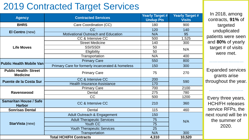### 2019 Contracted Target Services

| <b>Agency</b>                                   | <b>Contracted Services</b>                        | Yearly Target #<br><b>Undup Pts</b> | <b>Yearly Target #</b><br><b>Visits</b> |     |
|-------------------------------------------------|---------------------------------------------------|-------------------------------------|-----------------------------------------|-----|
| <b>BHRS</b>                                     | Care Coordination (CC)                            | 180                                 | 900                                     |     |
| El Centro (new)                                 | <b>CC</b>                                         | 120                                 | 140                                     |     |
|                                                 | <b>Motivational Outreach and Education</b>        | N/A                                 | 95                                      |     |
| <b>Life Moves</b>                               | CC & Intensive CC                                 | 500                                 | 1,525                                   | pa  |
|                                                 | <b>Street Medicine</b>                            | 140                                 | 300                                     | ar  |
|                                                 | <b>SSI/SSDI</b>                                   | 50                                  | N/A                                     |     |
|                                                 | <b>Eligibility</b>                                | 50                                  |                                         |     |
|                                                 | Transportation                                    | N/A                                 | 400                                     |     |
| <b>Public Health Mobile Van</b>                 | <b>Primary Care</b>                               | 550                                 | 800                                     |     |
|                                                 | Primary Care for formerly incarcerated & homeless | 150                                 | 300                                     |     |
| <b>Public Health- Street</b><br><b>Medicine</b> | <b>Primary Care</b>                               | 75                                  | 270                                     | Ex  |
| <b>Puente de la Costa Sur</b>                   | <b>CC &amp; Intensive CC</b>                      | 200                                 | 590                                     | thr |
|                                                 | <b>Health Insurance Assistance</b>                | 170                                 |                                         |     |
| <b>Ravenswood</b>                               | <b>Primary Care</b>                               | 700                                 | 2100                                    |     |
|                                                 | <b>Dental</b>                                     | 275                                 | 780                                     |     |
|                                                 | <b>CC</b>                                         | 500                                 | 1200                                    | E   |
| <b>Samaritan House / Safe</b><br><b>Harbor</b>  | CC & Intensive CC                                 | 210                                 | 360                                     |     |
| <b>Sonrisas Dental</b>                          | Dental                                            | 115                                 | 460                                     |     |
| <b>StarVista (new)</b>                          | <b>Adult Outreach &amp; Engagement</b>            | 150                                 | N/A                                     | ne: |
|                                                 | <b>Adult Therapeutic Services</b>                 | 75                                  |                                         |     |
|                                                 | Youth CC                                          | 75                                  |                                         |     |
|                                                 | <b>Youth Therapeutic Services</b>                 | 25                                  |                                         |     |
|                                                 | Transportation                                    | N/A                                 | 300                                     |     |
|                                                 | <b>Total HCH/FH Contracts</b>                     | 4,310                               | 10,520                                  |     |

In 2018, among contracts, **91%** of targeted unduplicated atients were seen and **80%** of yearly arget # of visits were met.

Expanded services grants arise oughout the year.

very three years, **CH/FH releases** ervice RFPs, the xt round will be in the summer of 2020.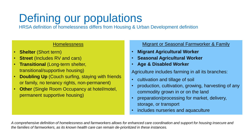## Defining our populations

HRSA definition of homelessness differs from Housing & Urban Development definition

#### Homelessness

- **Shelter** (Short term)
- **Street** (Includes RV and cars)
- **Transitional** (Long-term shelter, transitional/supportive housing)
- **Doubling Up** (Couch surfing, staying with friends or family, no tenancy rights, non-permanent)
- **Other** (Single Room Occupancy at hotel/motel, permanent supportive housing)

#### Migrant or Seasonal Farmworker & Family

- **Migrant Agricultural Worker**
- **Seasonal Agricultural Worker**
- **Age & Disabled Worker**

Agriculture includes farming in all its branches:

- cultivation and tillage of soil
- production, cultivation, growing, harvesting of any commodity grown in or on the land
- preparation/processing for market, delivery, storage, or transport
- includes nurseries and aquaculture

*A comprehensive definition of homelessness and farmworkers allows for enhanced care coordination and support for housing insecure and the families of farmworkers, as its known health care can remain de-prioritized in these instances.*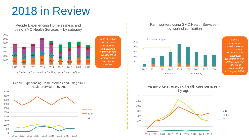## 2018 in Review

People Experiencing Homelessness and using SMC Health Services -- by category



People Experiencing Homelessness and using SMC Health Services -- by Age



#### Farmworkers using SMC Health Services – by work classification



*farmworker housing needs assessment estimates the agricultural workforce in San Mateo County is 1700-1900, down from 3000 in the year 2000.*

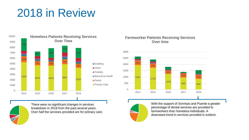## 2018 in Review



There were no significant changes in services breakdown in 2018 from the past several years. Over half the services provided are for primary care.

#### **Farmworker Patients Receiving Services Over time**





With the support of Sonrisas and Puente a greater percentage of dental services are provided to farmworkers than homeless individuals. A downward trend in services provided is evident.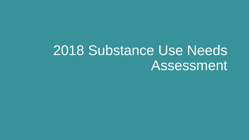# 2018 Substance Use Needs Assessment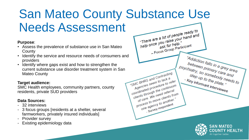# San Mateo County Substance Use Needs Assessment

#### **Purpose**:

- Assess the prevalence of substance use in San Mateo **County**
- Identify the service and resource needs of consumers and providers
- Identify where gaps exist and how to strengthen the current substance use disorder treatment system in San Mateo County

#### **Target audience:**

SMC Health employees, community partners, county residents, private SUD providers

#### **Data Sources:**

- 32 interviews
- 3 focus groups [residents at a shelter, several farmworkers, privately insured individuals]
- Provider survey
- Existing epidemiology data

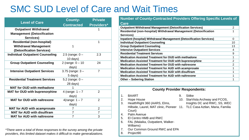### SMC SUD Level of Care and Wait Times

| <b>Level of Care</b>                                                           | County-<br><b>Contracted</b>    | <b>Private</b><br><b>Providers*</b> |
|--------------------------------------------------------------------------------|---------------------------------|-------------------------------------|
| <b>Outpatient Withdrawal</b><br><b>Management (Detoxification</b><br>Services) |                                 |                                     |
| <b>Residential (non-hospital)</b>                                              |                                 | 1                                   |
| <b>Withdrawal Management</b><br>(Detoxification Services)                      | 1                               |                                     |
| <b>Individual Outpatient Counseling</b>                                        | 2.5 (range: $0 -$<br>$10$ days) | 2.3                                 |
| <b>Group Outpatient Counseling</b>                                             | 2 (range: $0 - 10$<br>days)     | 24                                  |
| <b>Intensive Outpatient Services</b>                                           | $3.75$ (range: $3 -$<br>5 days) | $\overline{7}$                      |
| <b>Residential Treatment Services</b>                                          | 5.2 (range: $0 -$<br>28 days)   |                                     |
| <b>MAT for OUD with methadone</b>                                              |                                 |                                     |
| <b>MAT for OUD with buprenorphine</b>                                          | 4 (range: $1 - 7$<br>days)      | $\overline{2}$                      |
| <b>MAT for OUD with naltrexone</b>                                             | 4(range: $1 - 7$<br>days)       | $\overline{2}$                      |
| <b>MAT for AUD with acamprosate</b>                                            | 7                               | $\overline{2}$                      |
| <b>MAT for AUD with disulfiram</b>                                             | 7                               | 7                                   |
| <b>MAT for AUD with naltrexone</b>                                             | 7                               | 3                                   |

*\*There were a total of three responses to the survey among the private providers, this limited dataset makes it difficult to make generalizations.*

| <b>Number of County-Contracted Providers Offering Specific Levels of</b>    |                |  |
|-----------------------------------------------------------------------------|----------------|--|
| <b>Care</b>                                                                 |                |  |
| <b>Outpatient Withdrawal Management (Detoxification Services)</b>           | $\overline{2}$ |  |
| Residential (non-hospital) Withdrawal Management (Detoxification            |                |  |
| Services)                                                                   |                |  |
| <b>Inpatient (hospital) Withdrawal Management (Detoxification Services)</b> | 0              |  |
| <b>Individual Outpatient Counseling</b>                                     | 10             |  |
| <b>Group Outpatient Counseling</b>                                          | 13             |  |
| <b>Intensive Outpatient Services</b>                                        | 4              |  |
| <b>Residential Treatment Services</b>                                       | 9              |  |
| <b>Medication Assisted Treatment for OUD with methadone</b>                 |                |  |
| <b>Medication Assisted Treatment for OUD with buprenorphine</b>             | $\mathcal{P}$  |  |
| <b>Medication Assisted Treatment for OUD with naltrexone</b>                | $\mathcal{P}$  |  |
| <b>Medication Assisted Treatment for AUD with acamprosate</b>               |                |  |
| <b>Medication Assisted Treatment for AUD with disulfiram</b>                |                |  |
| <b>Medication Assisted Treatment for AUD with naltrexone</b>                |                |  |
| <b>Other - Sobering Station</b>                                             |                |  |
|                                                                             |                |  |

#### **County Provider Respondents:**

- 1. BAART
- 2. Hope House
- 3. HealthRight 360 (AARS, Elms,
	- Hillside, Laurel, MAT clinic, Pioneer 11. TLC Casa Aztlan, Maria, Familia Court)
- 4. Palm Avenue
- 5. El Centro HMB and RWC
- 6. FAL (Malaika, Outpatient, Walker-Williams)
- 7. Our Common Ground RWC and EPA
- 8. Project90
- 9. Sitike
- 10. StarVista Archway and FCOS, Insights DC and RWC, SS, WEC
	-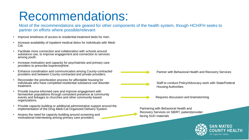## Recommendations:

Most of the recommendations are geared for other components of the health system, though HCH/FH seeks to partner on efforts where possible/relevant

- Improve timeliness of access to residential treatment beds for men.
- Increase availability of inpatient medical detox for individuals with Medi-Cal.
- Facilitate more connection and collaboration with schools around substance use, to improve engagement and connection to services among youth.
- Increase motivation and capacity for psychiatrists and primary care providers to prescribe buprenorphine.
- Enhance coordination and communication among County-contracted providers and between County-contracted and private providers.
- Reconsider the prioritization process for affordable housing for individuals who have completed residential substance use disorder treatment.
- Provide trauma-informed care and improve engagement with farmworker populations through consistent presence at community events and linkages to churches and other community-based organizations.
- Provide capacity building or additional administrative support around the implementation of the Drug Medi-Cal Organized Delivery System.
- Assess the need for capacity building around screening and motivational interviewing among primary care providers.

Partner with Behavioral Health and Recovery Services

Staff to conduct Policy/Advocacy work with State/Federal Housing Authorities

Requires discussion and brainstorming

Partnering with Behavioral Health and Recovery Services on SBIRT, patient/provider facing SUD materials

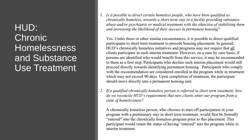### HUD: Chronic Homelessness and Substance Use Treatment

1. Is it possible to direct certain homeless people, who have been qualified as chronically homeless, towards a short term stay in a facility providing substance abuse and/or psychiatric or medical treatment with the objective of stabilizing them and increasing the likelihood of their success in permanent housing?

Yes. Under these or other similar circumstances, it is possible to direct qualified participants to short term treatment to precede housing placement. In general, HUD's chronically homeless initiatives and programs may not require that all clients participate in such interim treatment. However, on a case by case basis, if persons are identified who would benefit from this service, it may be recommended to them as a first step. Participants who decline such interim placement would still proceed directly towards identifying permanent housing. Participants who comply with the recommendation are considered enrolled in the program while in treatment which may not exceed 90 days. Upon completion of treatment, the participant should move directly into a permanent housing unit.

2. If a qualified chronically homeless person is referred to short term treatment, how do we reconcile HUD's requirement that new clients enter our program from a state of homelessness?

A chronically homeless person, who chooses to start off participation in your program with a preliminary stay in short term treatment, would first be formally "entered" into the chronically homeless program prior to this placement. This participant would retain the status of having "entered" into the program while in interim treatment.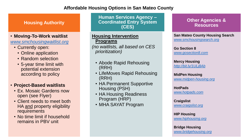#### **Affordable Housing Options in San Mateo County**

#### **Housing Authority**

#### • **Moving-To-Work waitlist**

*[www.smchousingwaitlist.org](http://www.smchousingwaitlist.org/)*

- Currently open:
	- Online application
	- Random selection
	- 5-year time limit with potential extension according to policy

#### • **Project-Based waitlists**

- Ex. Mosaic Gardens now open (see Flyer)
- Client needs to meet both HA and property eligibility requirements
- No time limit if household remains in PBV unit

**Human Services Agency – Coordinated Entry System (CES)**

#### **Housing Intervention Programs**

*(no waitlists, all based on CES prioritization)*

- Abode Rapid Rehousing (RRH)
- LifeMoves Rapid Rehousing (RRH)
- HA Permanent Supportive Housing (PSH)
- HA Housing Readiness Program (HRP)
- MHA SAYAT Program

#### **Other Agencies & Resources**

**San Mateo County Housing Search** *[www.smchousingsearch.org](http://www.smchousingsearch.org/)*

**Go Section 8** *[www.gosection8.com](http://www.gosection8.com/)*

**Mercy Housing** *<http://bit.ly/1ULj8Ab>*

**MidPen Housing** *[www.midpen-housing.org](http://www.midpen-housing.org/)*

**HotPads** *[www.hotpads.com](http://www.hotpads.com/)*

**Craigslist** *[www.craigslist.org](http://www.craigslist.org/)*

**HIP Housing** *[www.hiphousing.org](http://www.hiphousing.org/)*

**Bridge Housing** *[www.bridgehousing.org](http://www.bridgehousing.org/)*